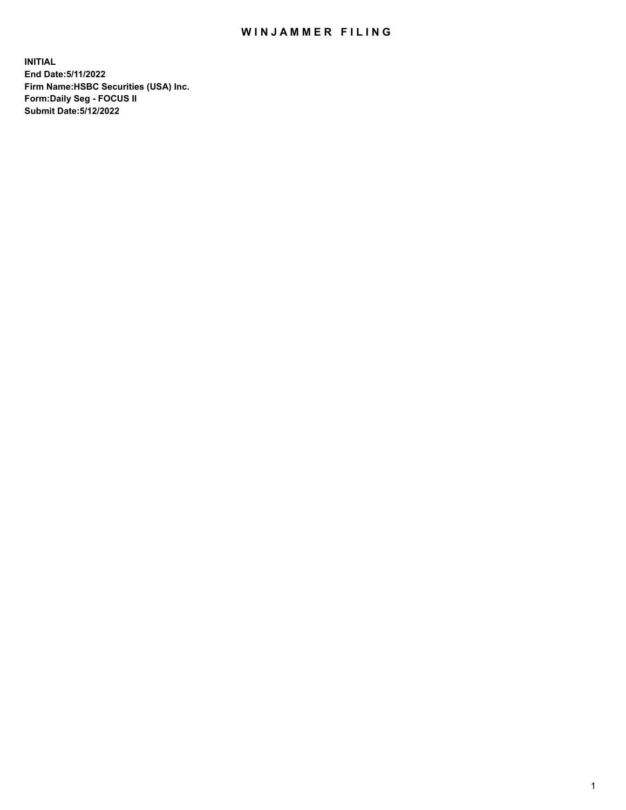## WIN JAMMER FILING

**INITIAL End Date:5/11/2022 Firm Name:HSBC Securities (USA) Inc. Form:Daily Seg - FOCUS II Submit Date:5/12/2022**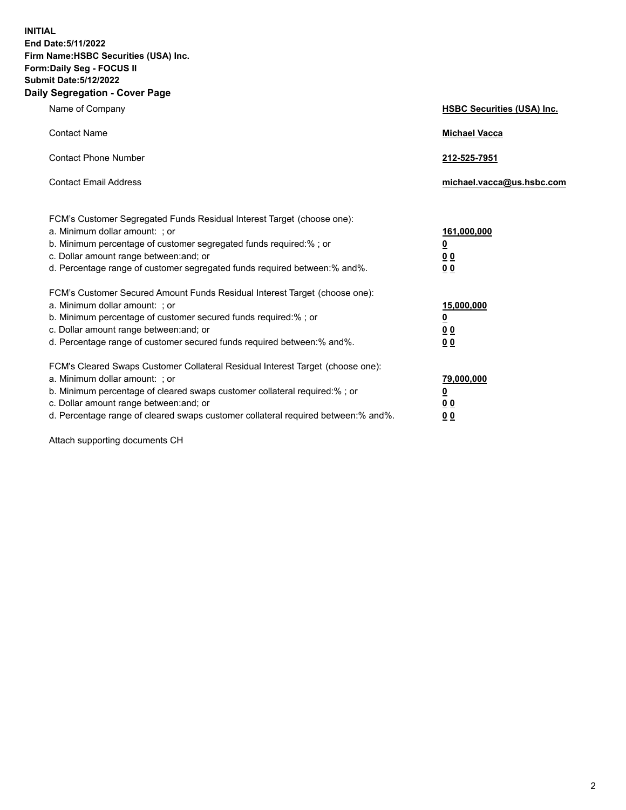**INITIAL End Date:5/11/2022 Firm Name:HSBC Securities (USA) Inc. Form:Daily Seg - FOCUS II Submit Date:5/12/2022 Daily Segregation - Cover Page**

| Name of Company                                                                                                                                                                                                                                                                                                               | <b>HSBC Securities (USA) Inc.</b>                                           |
|-------------------------------------------------------------------------------------------------------------------------------------------------------------------------------------------------------------------------------------------------------------------------------------------------------------------------------|-----------------------------------------------------------------------------|
| <b>Contact Name</b>                                                                                                                                                                                                                                                                                                           | <b>Michael Vacca</b>                                                        |
| <b>Contact Phone Number</b>                                                                                                                                                                                                                                                                                                   | 212-525-7951                                                                |
| <b>Contact Email Address</b>                                                                                                                                                                                                                                                                                                  | michael.vacca@us.hsbc.com                                                   |
| FCM's Customer Segregated Funds Residual Interest Target (choose one):<br>a. Minimum dollar amount: ; or<br>b. Minimum percentage of customer segregated funds required:% ; or<br>c. Dollar amount range between: and; or<br>d. Percentage range of customer segregated funds required between:% and%.                        | 161,000,000<br>$\underline{\mathbf{0}}$<br>0 <sub>0</sub><br>0 <sub>0</sub> |
| FCM's Customer Secured Amount Funds Residual Interest Target (choose one):<br>a. Minimum dollar amount: ; or<br>b. Minimum percentage of customer secured funds required:%; or<br>c. Dollar amount range between: and; or<br>d. Percentage range of customer secured funds required between: % and %.                         | 15,000,000<br><u>0</u><br>0 <sub>0</sub><br>0 <sub>0</sub>                  |
| FCM's Cleared Swaps Customer Collateral Residual Interest Target (choose one):<br>a. Minimum dollar amount: : or<br>b. Minimum percentage of cleared swaps customer collateral required:%; or<br>c. Dollar amount range between: and; or<br>d. Percentage range of cleared swaps customer collateral required between:% and%. | 79,000,000<br><u>0</u><br>00<br>00                                          |

Attach supporting documents CH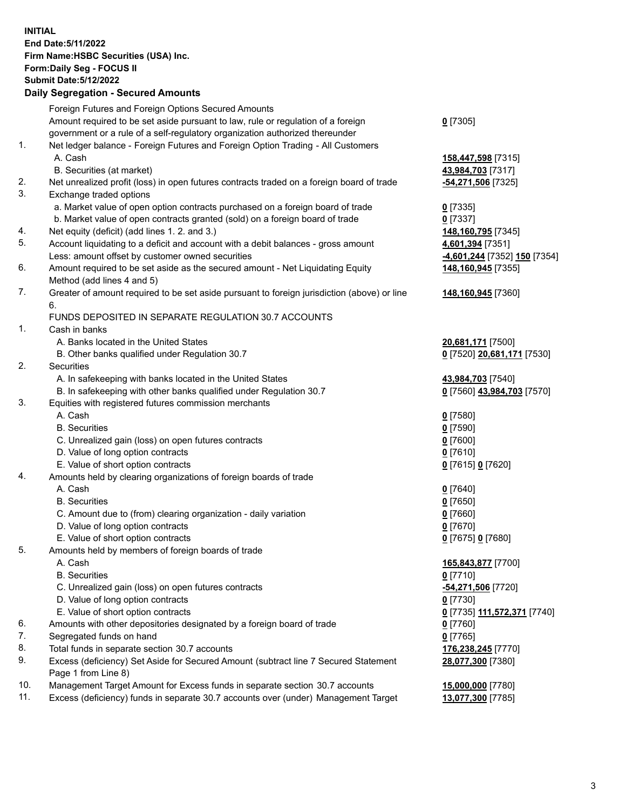**INITIAL End Date:5/11/2022 Firm Name:HSBC Securities (USA) Inc. Form:Daily Seg - FOCUS II Submit Date:5/12/2022 Daily Segregation - Secured Amounts**

## Foreign Futures and Foreign Options Secured Amounts Amount required to be set aside pursuant to law, rule or regulation of a foreign government or a rule of a self-regulatory organization authorized thereunder **0** [7305] 1. Net ledger balance - Foreign Futures and Foreign Option Trading - All Customers A. Cash **158,447,598** [7315] B. Securities (at market) **43,984,703** [7317] 2. Net unrealized profit (loss) in open futures contracts traded on a foreign board of trade **-54,271,506** [7325] 3. Exchange traded options a. Market value of open option contracts purchased on a foreign board of trade **0** [7335] b. Market value of open contracts granted (sold) on a foreign board of trade **0** [7337] 4. Net equity (deficit) (add lines 1. 2. and 3.) **148,160,795** [7345] 5. Account liquidating to a deficit and account with a debit balances - gross amount **4,601,394** [7351] Less: amount offset by customer owned securities **-4,601,244** [7352] **150** [7354] 6. Amount required to be set aside as the secured amount - Net Liquidating Equity Method (add lines 4 and 5) **148,160,945** [7355] 7. Greater of amount required to be set aside pursuant to foreign jurisdiction (above) or line 6. **148,160,945** [7360] FUNDS DEPOSITED IN SEPARATE REGULATION 30.7 ACCOUNTS 1. Cash in banks A. Banks located in the United States **20,681,171** [7500] B. Other banks qualified under Regulation 30.7 **0** [7520] **20,681,171** [7530] 2. Securities A. In safekeeping with banks located in the United States **43,984,703** [7540] B. In safekeeping with other banks qualified under Regulation 30.7 **0** [7560] **43,984,703** [7570] 3. Equities with registered futures commission merchants A. Cash **0** [7580] B. Securities **0** [7590] C. Unrealized gain (loss) on open futures contracts **0** [7600] D. Value of long option contracts **0** [7610] E. Value of short option contracts **0** [7615] **0** [7620] 4. Amounts held by clearing organizations of foreign boards of trade A. Cash **0** [7640] B. Securities **0** [7650] C. Amount due to (from) clearing organization - daily variation **0** [7660] D. Value of long option contracts **0** [7670] E. Value of short option contracts **0** [7675] **0** [7680] 5. Amounts held by members of foreign boards of trade A. Cash **165,843,877** [7700] B. Securities **0** [7710] C. Unrealized gain (loss) on open futures contracts **-54,271,506** [7720] D. Value of long option contracts **0** [7730] E. Value of short option contracts **0** [7735] **111,572,371** [7740] 6. Amounts with other depositories designated by a foreign board of trade **0** [7760] 7. Segregated funds on hand **0** [7765] 8. Total funds in separate section 30.7 accounts **176,238,245** [7770] 9. Excess (deficiency) Set Aside for Secured Amount (subtract line 7 Secured Statement Page 1 from Line 8) **28,077,300** [7380] 10. Management Target Amount for Excess funds in separate section 30.7 accounts **15,000,000** [7780] 11. Excess (deficiency) funds in separate 30.7 accounts over (under) Management Target **13,077,300** [7785]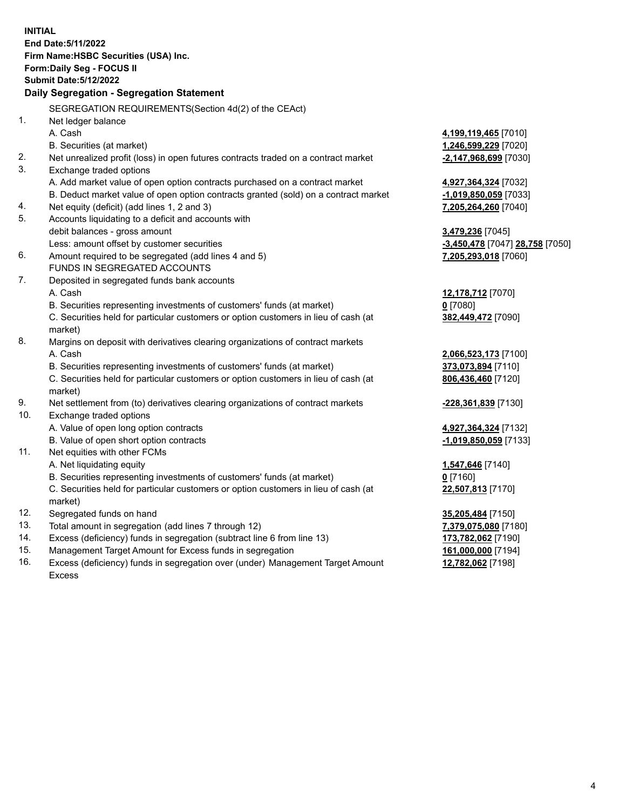**INITIAL End Date:5/11/2022 Firm Name:HSBC Securities (USA) Inc. Form:Daily Seg - FOCUS II Submit Date:5/12/2022 Daily Segregation - Segregation Statement** SEGREGATION REQUIREMENTS(Section 4d(2) of the CEAct) 1. Net ledger balance A. Cash **4,199,119,465** [7010] B. Securities (at market) **1,246,599,229** [7020] 2. Net unrealized profit (loss) in open futures contracts traded on a contract market **-2,147,968,699** [7030] 3. Exchange traded options A. Add market value of open option contracts purchased on a contract market **4,927,364,324** [7032] B. Deduct market value of open option contracts granted (sold) on a contract market **-1,019,850,059** [7033] 4. Net equity (deficit) (add lines 1, 2 and 3) **7,205,264,260** [7040] 5. Accounts liquidating to a deficit and accounts with debit balances - gross amount **3,479,236** [7045] Less: amount offset by customer securities **-3,450,478** [7047] **28,758** [7050] 6. Amount required to be segregated (add lines 4 and 5) **7,205,293,018** [7060] FUNDS IN SEGREGATED ACCOUNTS 7. Deposited in segregated funds bank accounts A. Cash **12,178,712** [7070] B. Securities representing investments of customers' funds (at market) **0** [7080] C. Securities held for particular customers or option customers in lieu of cash (at market) **382,449,472** [7090] 8. Margins on deposit with derivatives clearing organizations of contract markets A. Cash **2,066,523,173** [7100] B. Securities representing investments of customers' funds (at market) **373,073,894** [7110] C. Securities held for particular customers or option customers in lieu of cash (at market) **806,436,460** [7120] 9. Net settlement from (to) derivatives clearing organizations of contract markets **-228,361,839** [7130] 10. Exchange traded options A. Value of open long option contracts **4,927,364,324** [7132] B. Value of open short option contracts **-1,019,850,059** [7133] 11. Net equities with other FCMs A. Net liquidating equity **1,547,646** [7140] B. Securities representing investments of customers' funds (at market) **0** [7160] C. Securities held for particular customers or option customers in lieu of cash (at market) **22,507,813** [7170] 12. Segregated funds on hand **35,205,484** [7150] 13. Total amount in segregation (add lines 7 through 12) **7,379,075,080** [7180] 14. Excess (deficiency) funds in segregation (subtract line 6 from line 13) **173,782,062** [7190] 15. Management Target Amount for Excess funds in segregation **161,000,000** [7194]

16. Excess (deficiency) funds in segregation over (under) Management Target Amount Excess

**12,782,062** [7198]